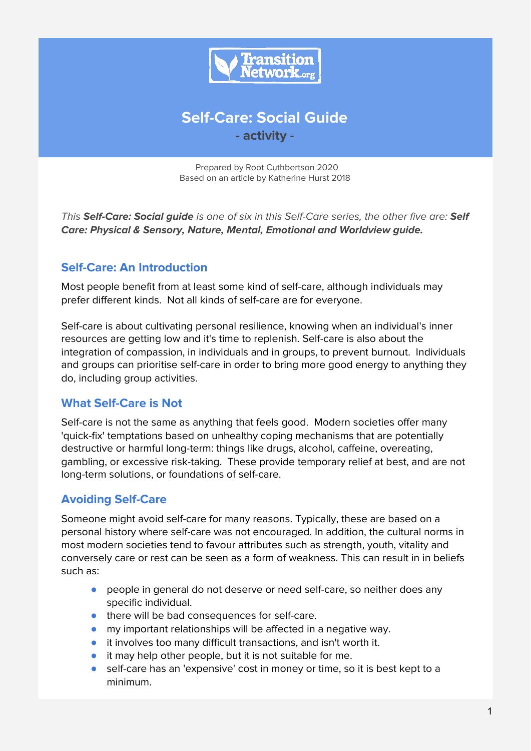

# **Self-Care: Social Guide - activity -**

Prepared by Root Cuthbertson 2020 Based on an article by Katherine Hurst 2018

This **Self-Care: Social guide** is one of six in this Self-Care series, the other five are: **Self Care: Physical & Sensory, Nature, Mental, Emotional and Worldview guide.**

#### **Self-Care: An Introduction**

Most people benefit from at least some kind of self-care, although individuals may prefer different kinds. Not all kinds of self-care are for everyone.

Self-care is about cultivating personal resilience, knowing when an individual's inner resources are getting low and it's time to replenish. Self-care is also about the integration of compassion, in individuals and in groups, to prevent burnout. Individuals and groups can prioritise self-care in order to bring more good energy to anything they do, including group activities.

## **What Self-Care is Not**

Self-care is not the same as anything that feels good. Modern societies offer many 'quick-fix' temptations based on unhealthy coping mechanisms that are potentially destructive or harmful long-term: things like drugs, alcohol, caffeine, overeating, gambling, or excessive risk-taking. These provide temporary relief at best, and are not long-term solutions, or foundations of self-care.

## **Avoiding Self-Care**

Someone might avoid self-care for many reasons. Typically, these are based on a personal history where self-care was not encouraged. In addition, the cultural norms in most modern societies tend to favour attributes such as strength, youth, vitality and conversely care or rest can be seen as a form of weakness. This can result in in beliefs such as:

- people in general do not deserve or need self-care, so neither does any specific individual.
- there will be bad consequences for self-care.
- my important relationships will be affected in a negative way.
- it involves too many difficult transactions, and isn't worth it.
- it may help other people, but it is not suitable for me.
- self-care has an 'expensive' cost in money or time, so it is best kept to a minimum.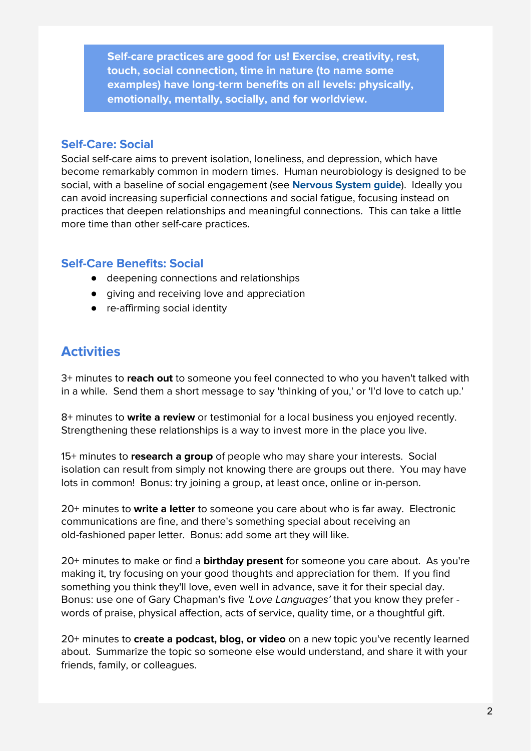**Self-care practices are good for us! Exercise, creativity, rest, touch, social connection, time in nature (to name some examples) have long-term benefits on all levels: physically, emotionally, mentally, socially, and for worldview.**

#### **Self-Care: Social**

Social self-care aims to prevent isolation, loneliness, and depression, which have become remarkably common in modern times. Human neurobiology is designed to be social, with a baseline of social engagement (see **Nervous System guide**). Ideally you can avoid increasing superficial connections and social fatigue, focusing instead on practices that deepen relationships and meaningful connections. This can take a little more time than other self-care practices.

#### **Self-Care Benefits: Social**

- deepening connections and relationships
- giving and receiving love and appreciation
- re-affirming social identity

## **Activities**

3+ minutes to **reach out** to someone you feel connected to who you haven't talked with in a while. Send them a short message to say 'thinking of you,' or 'I'd love to catch up.'

8+ minutes to **write a review** or testimonial for a local business you enjoyed recently. Strengthening these relationships is a way to invest more in the place you live.

15+ minutes to **research a group** of people who may share your interests. Social isolation can result from simply not knowing there are groups out there. You may have lots in common! Bonus: try joining a group, at least once, online or in-person.

20+ minutes to **write a letter** to someone you care about who is far away. Electronic communications are fine, and there's something special about receiving an old-fashioned paper letter. Bonus: add some art they will like.

20+ minutes to make or find a **birthday present** for someone you care about. As you're making it, try focusing on your good thoughts and appreciation for them. If you find something you think they'll love, even well in advance, save it for their special day. Bonus: use one of Gary Chapman's five 'Love Languages' that you know they prefer words of praise, physical affection, acts of service, quality time, or a thoughtful gift.

20+ minutes to **create a podcast, blog, or video** on a new topic you've recently learned about. Summarize the topic so someone else would understand, and share it with your friends, family, or colleagues.